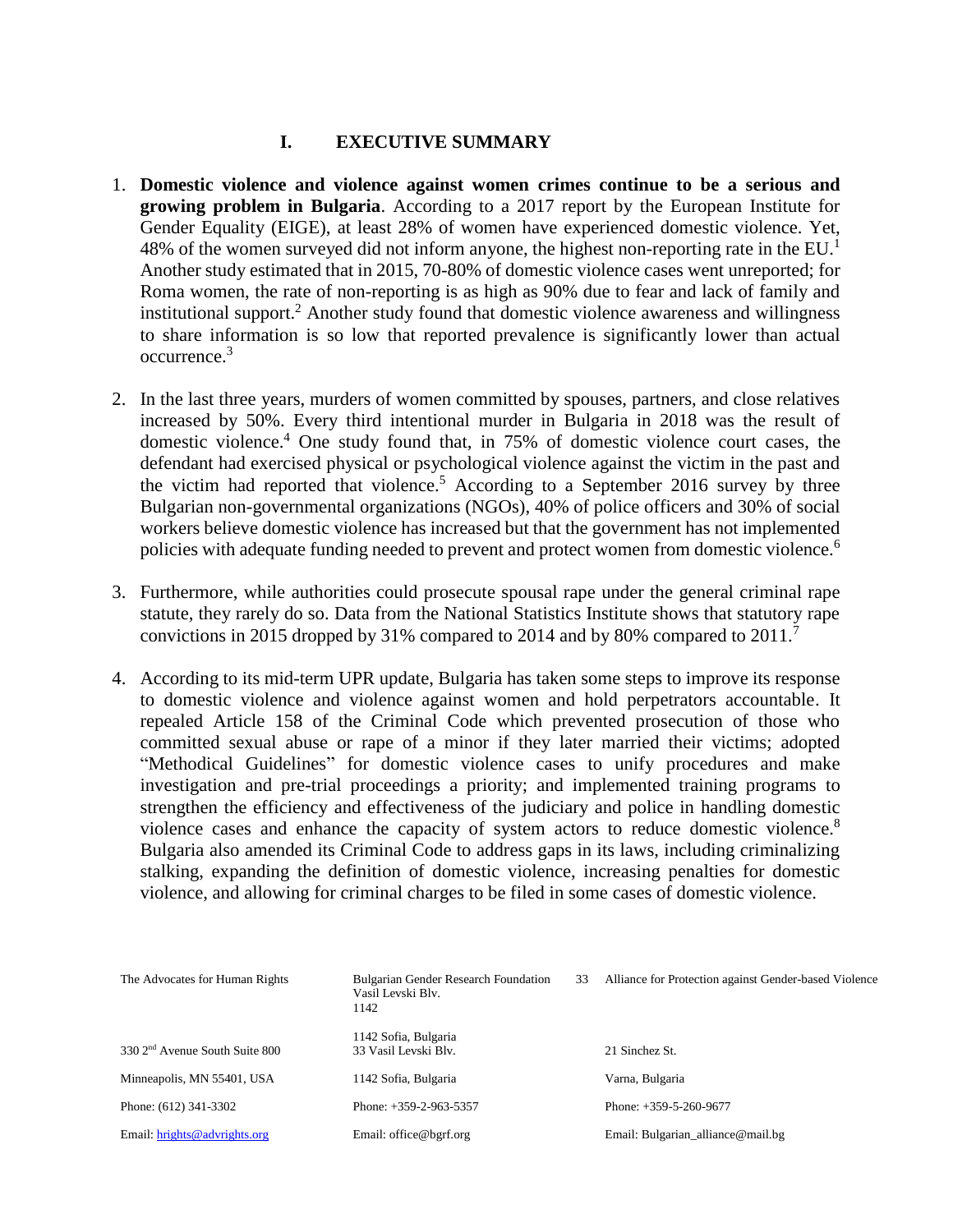# **I. EXECUTIVE SUMMARY**

- 1. **Domestic violence and violence against women crimes continue to be a serious and growing problem in Bulgaria**. According to a 2017 report by the European Institute for Gender Equality (EIGE), at least 28% of women have experienced domestic violence. Yet, 48% of the women surveyed did not inform anyone, the highest non-reporting rate in the  $EU<sup>1</sup>$ Another study estimated that in 2015, 70-80% of domestic violence cases went unreported; for Roma women, the rate of non-reporting is as high as 90% due to fear and lack of family and institutional support.<sup>2</sup> Another study found that domestic violence awareness and willingness to share information is so low that reported prevalence is significantly lower than actual occurrence. 3
- 2. In the last three years, murders of women committed by spouses, partners, and close relatives increased by 50%. Every third intentional murder in Bulgaria in 2018 was the result of domestic violence.<sup>4</sup> One study found that, in 75% of domestic violence court cases, the defendant had exercised physical or psychological violence against the victim in the past and the victim had reported that violence.<sup>5</sup> According to a September 2016 survey by three Bulgarian non-governmental organizations (NGOs), 40% of police officers and 30% of social workers believe domestic violence has increased but that the government has not implemented policies with adequate funding needed to prevent and protect women from domestic violence.<sup>6</sup>
- 3. Furthermore, while authorities could prosecute spousal rape under the general criminal rape statute, they rarely do so. Data from the National Statistics Institute shows that statutory rape convictions in 2015 dropped by 31% compared to 2014 and by 80% compared to 2011.<sup>7</sup>
- 4. According to its mid-term UPR update, Bulgaria has taken some steps to improve its response to domestic violence and violence against women and hold perpetrators accountable. It repealed Article 158 of the Criminal Code which prevented prosecution of those who committed sexual abuse or rape of a minor if they later married their victims; adopted "Methodical Guidelines" for domestic violence cases to unify procedures and make investigation and pre-trial proceedings a priority; and implemented training programs to strengthen the efficiency and effectiveness of the judiciary and police in handling domestic violence cases and enhance the capacity of system actors to reduce domestic violence.<sup>8</sup> Bulgaria also amended its Criminal Code to address gaps in its laws, including criminalizing stalking, expanding the definition of domestic violence, increasing penalties for domestic violence, and allowing for criminal charges to be filed in some cases of domestic violence.

| The Advocates for Human Rights             | <b>Bulgarian Gender Research Foundation</b><br>Vasil Levski Blv.<br>1142 | 33 | Alliance for Protection against Gender-based Violence |
|--------------------------------------------|--------------------------------------------------------------------------|----|-------------------------------------------------------|
| 330 2 <sup>nd</sup> Avenue South Suite 800 | 1142 Sofia, Bulgaria<br>33 Vasil Levski Blv.                             |    | 21 Sinchez St.                                        |
| Minneapolis, MN 55401, USA                 | 1142 Sofia, Bulgaria                                                     |    | Varna, Bulgaria                                       |
| Phone: (612) 341-3302                      | Phone: $+359-2-963-5357$                                                 |    | Phone: $+359-5-260-9677$                              |
| Email: hrights@advrights.org               | Email: office@bgrf.org                                                   |    | Email: Bulgarian_alliance@mail.bg                     |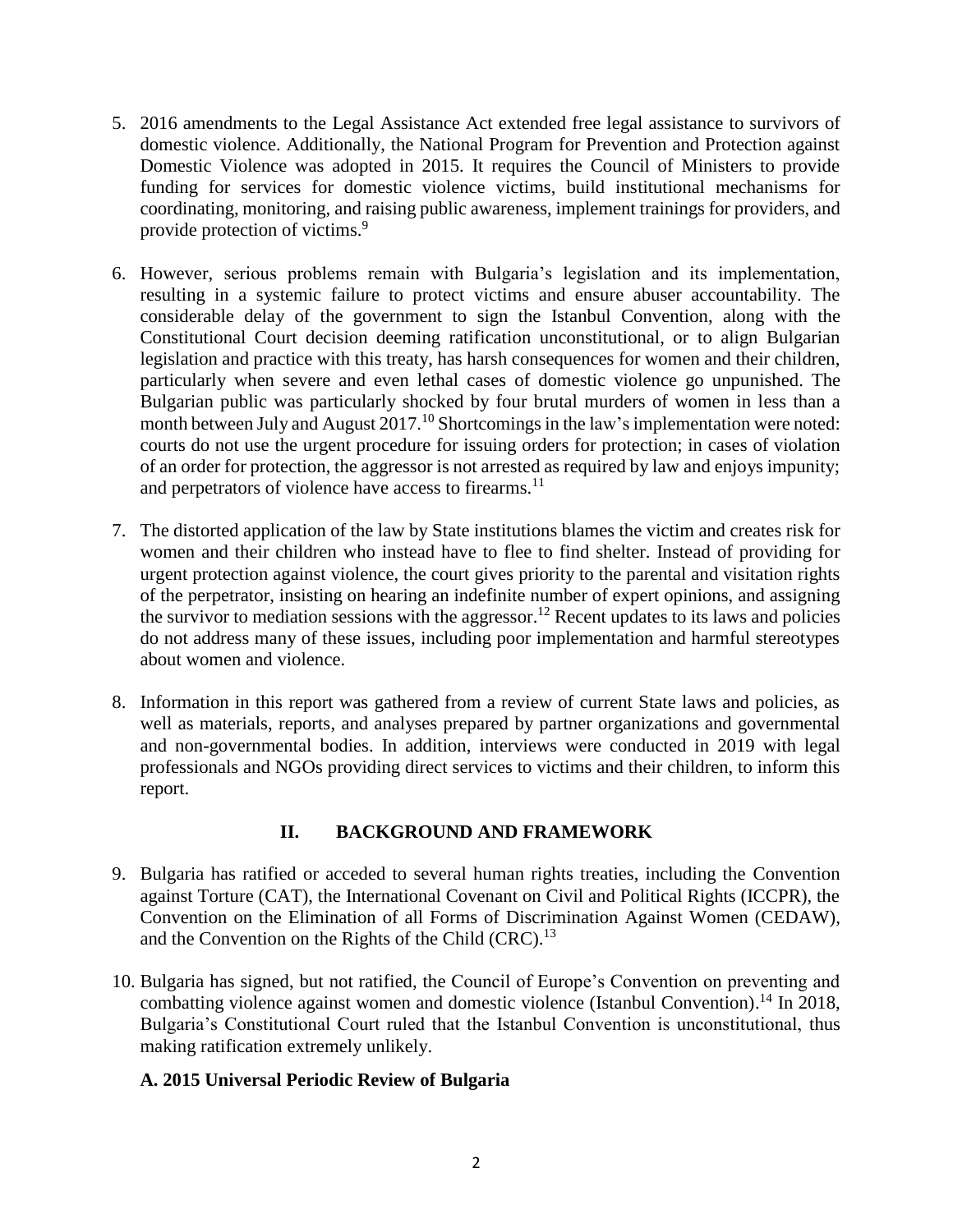- 5. 2016 amendments to the Legal Assistance Act extended free legal assistance to survivors of domestic violence. Additionally, the National Program for Prevention and Protection against Domestic Violence was adopted in 2015. It requires the Council of Ministers to provide funding for services for domestic violence victims, build institutional mechanisms for coordinating, monitoring, and raising public awareness, implement trainings for providers, and provide protection of victims.<sup>9</sup>
- 6. However, serious problems remain with Bulgaria's legislation and its implementation, resulting in a systemic failure to protect victims and ensure abuser accountability. The considerable delay of the government to sign the Istanbul Convention, along with the Constitutional Court decision deeming ratification unconstitutional, or to align Bulgarian legislation and practice with this treaty, has harsh consequences for women and their children, particularly when severe and even lethal cases of domestic violence go unpunished. The Bulgarian public was particularly shocked by four brutal murders of women in less than a month between July and August 2017.<sup>10</sup> Shortcomings in the law's implementation were noted: courts do not use the urgent procedure for issuing orders for protection; in cases of violation of an order for protection, the aggressor is not arrested as required by law and enjoys impunity; and perpetrators of violence have access to firearms.<sup>11</sup>
- 7. The distorted application of the law by State institutions blames the victim and creates risk for women and their children who instead have to flee to find shelter. Instead of providing for urgent protection against violence, the court gives priority to the parental and visitation rights of the perpetrator, insisting on hearing an indefinite number of expert opinions, and assigning the survivor to mediation sessions with the aggressor.<sup>12</sup> Recent updates to its laws and policies do not address many of these issues, including poor implementation and harmful stereotypes about women and violence.
- 8. Information in this report was gathered from a review of current State laws and policies, as well as materials, reports, and analyses prepared by partner organizations and governmental and non-governmental bodies. In addition, interviews were conducted in 2019 with legal professionals and NGOs providing direct services to victims and their children, to inform this report.

## **II. BACKGROUND AND FRAMEWORK**

- 9. Bulgaria has ratified or acceded to several human rights treaties, including the Convention against Torture (CAT), the International Covenant on Civil and Political Rights (ICCPR), the Convention on the Elimination of all Forms of Discrimination Against Women (CEDAW), and the Convention on the Rights of the Child  $(CRC)^{13}$ .
- 10. Bulgaria has signed, but not ratified, the Council of Europe's Convention on preventing and combatting violence against women and domestic violence (Istanbul Convention).<sup>14</sup> In 2018, Bulgaria's Constitutional Court ruled that the Istanbul Convention is unconstitutional, thus making ratification extremely unlikely.

## **A. 2015 Universal Periodic Review of Bulgaria**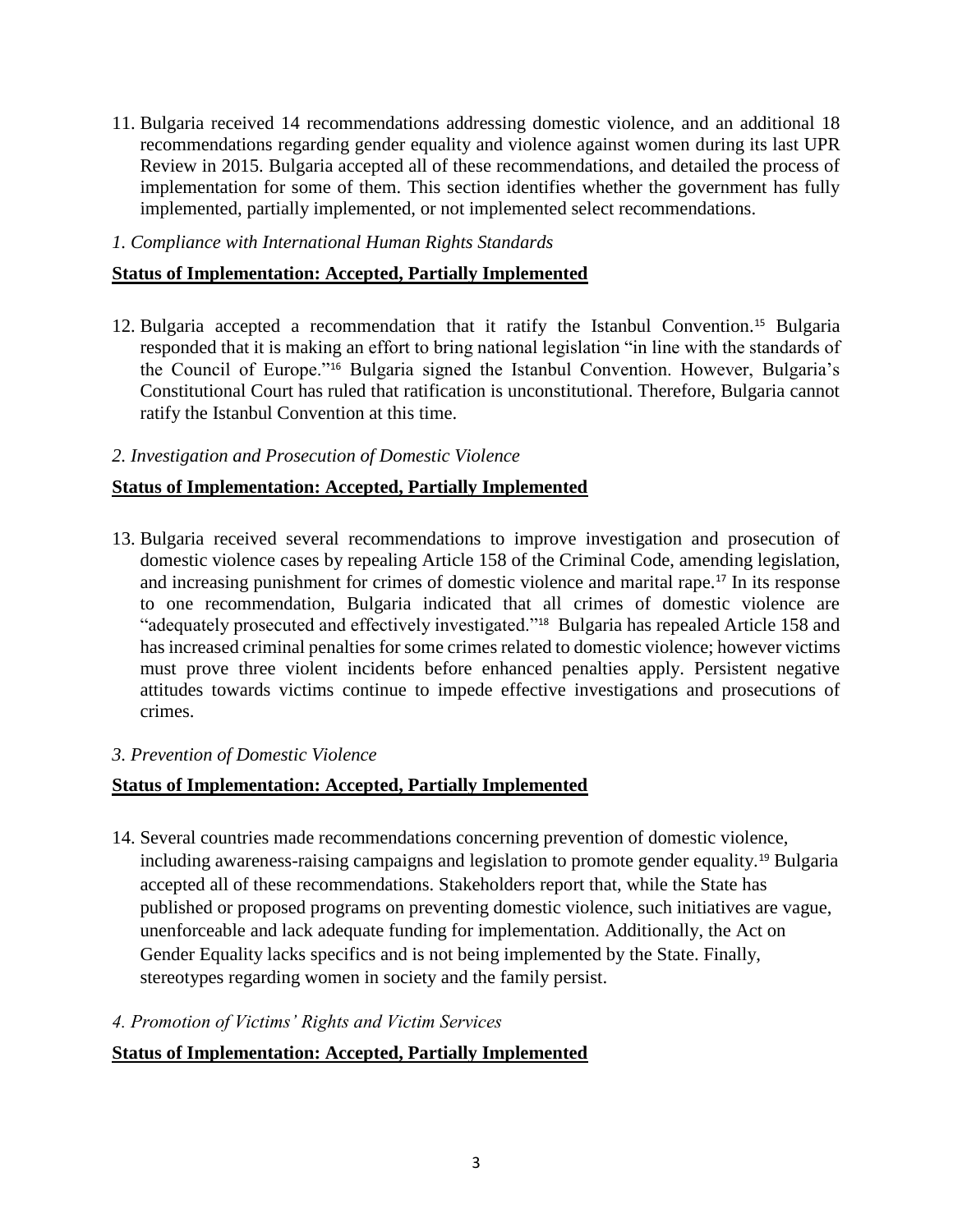11. Bulgaria received 14 recommendations addressing domestic violence, and an additional 18 recommendations regarding gender equality and violence against women during its last UPR Review in 2015. Bulgaria accepted all of these recommendations, and detailed the process of implementation for some of them. This section identifies whether the government has fully implemented, partially implemented, or not implemented select recommendations.

#### *1. Compliance with International Human Rights Standards*

## **Status of Implementation: Accepted, Partially Implemented**

12. Bulgaria accepted a recommendation that it ratify the Istanbul Convention.<sup>15</sup> Bulgaria responded that it is making an effort to bring national legislation "in line with the standards of the Council of Europe."<sup>16</sup> Bulgaria signed the Istanbul Convention. However, Bulgaria's Constitutional Court has ruled that ratification is unconstitutional. Therefore, Bulgaria cannot ratify the Istanbul Convention at this time.

#### *2. Investigation and Prosecution of Domestic Violence*

## **Status of Implementation: Accepted, Partially Implemented**

13. Bulgaria received several recommendations to improve investigation and prosecution of domestic violence cases by repealing Article 158 of the Criminal Code, amending legislation, and increasing punishment for crimes of domestic violence and marital rape.<sup>17</sup> In its response to one recommendation, Bulgaria indicated that all crimes of domestic violence are "adequately prosecuted and effectively investigated."<sup>18</sup> Bulgaria has repealed Article 158 and has increased criminal penalties for some crimes related to domestic violence; however victims must prove three violent incidents before enhanced penalties apply. Persistent negative attitudes towards victims continue to impede effective investigations and prosecutions of crimes.

#### *3. Prevention of Domestic Violence*

## **Status of Implementation: Accepted, Partially Implemented**

- 14. Several countries made recommendations concerning prevention of domestic violence, including awareness-raising campaigns and legislation to promote gender equality.<sup>19</sup> Bulgaria accepted all of these recommendations. Stakeholders report that, while the State has published or proposed programs on preventing domestic violence, such initiatives are vague, unenforceable and lack adequate funding for implementation. Additionally, the Act on Gender Equality lacks specifics and is not being implemented by the State. Finally, stereotypes regarding women in society and the family persist.
- *4. Promotion of Victims' Rights and Victim Services*

## **Status of Implementation: Accepted, Partially Implemented**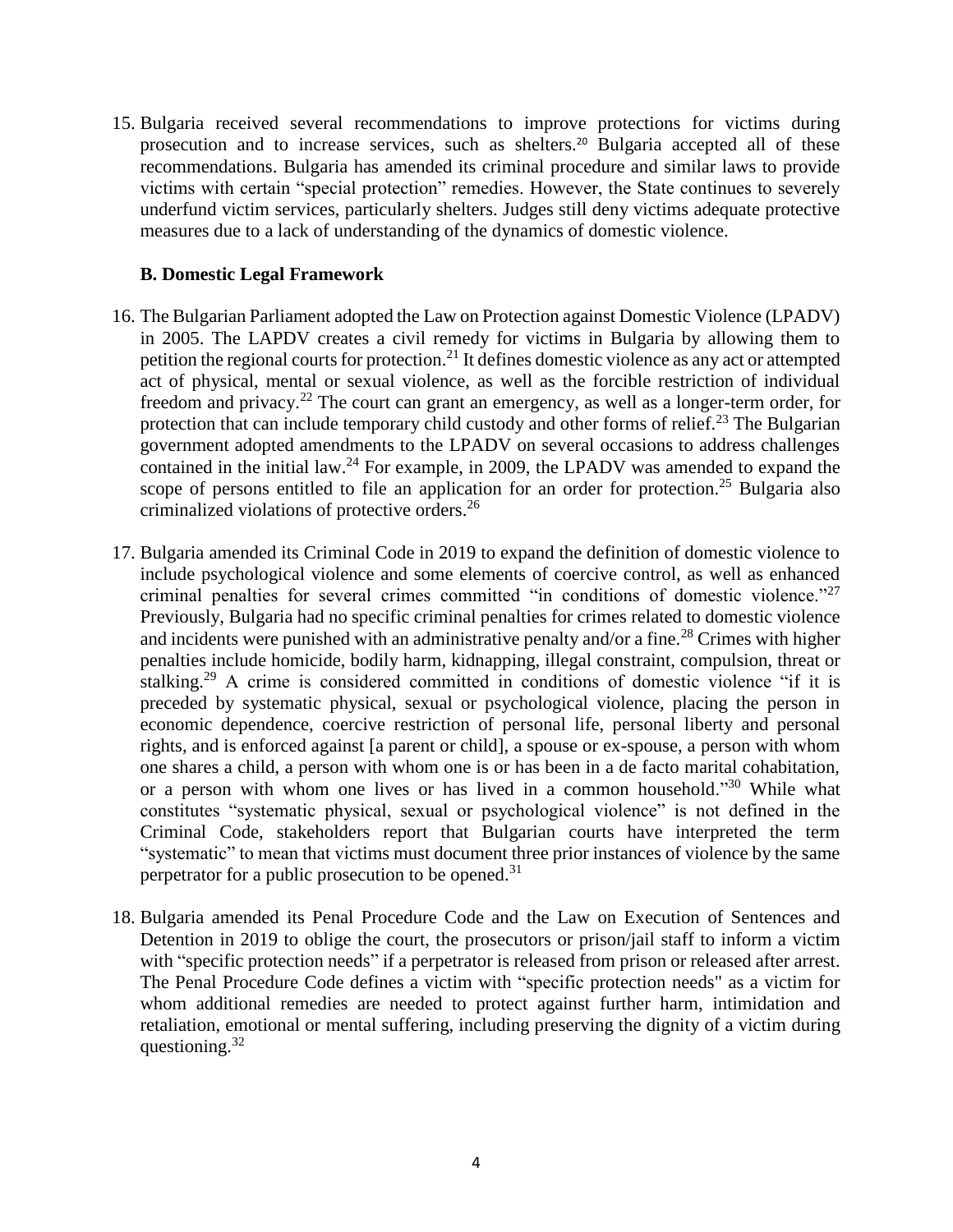15. Bulgaria received several recommendations to improve protections for victims during prosecution and to increase services, such as shelters.<sup>20</sup> Bulgaria accepted all of these recommendations. Bulgaria has amended its criminal procedure and similar laws to provide victims with certain "special protection" remedies. However, the State continues to severely underfund victim services, particularly shelters. Judges still deny victims adequate protective measures due to a lack of understanding of the dynamics of domestic violence.

### **B. Domestic Legal Framework**

- 16. The Bulgarian Parliament adopted the Law on Protection against Domestic Violence (LPADV) in 2005. The LAPDV creates a civil remedy for victims in Bulgaria by allowing them to petition the regional courts for protection.<sup>21</sup> It defines domestic violence as any act or attempted act of physical, mental or sexual violence, as well as the forcible restriction of individual freedom and privacy.<sup>22</sup> The court can grant an emergency, as well as a longer-term order, for protection that can include temporary child custody and other forms of relief.<sup>23</sup> The Bulgarian government adopted amendments to the LPADV on several occasions to address challenges contained in the initial law.<sup>24</sup> For example, in 2009, the LPADV was amended to expand the scope of persons entitled to file an application for an order for protection.<sup>25</sup> Bulgaria also criminalized violations of protective orders. 26
- 17. Bulgaria amended its Criminal Code in 2019 to expand the definition of domestic violence to include psychological violence and some elements of coercive control, as well as enhanced criminal penalties for several crimes committed "in conditions of domestic violence." $27$ Previously, Bulgaria had no specific criminal penalties for crimes related to domestic violence and incidents were punished with an administrative penalty and/or a fine.<sup>28</sup> Crimes with higher penalties include homicide, bodily harm, kidnapping, illegal constraint, compulsion, threat or stalking.<sup>29</sup> A crime is considered committed in conditions of domestic violence "if it is preceded by systematic physical, sexual or psychological violence, placing the person in economic dependence, coercive restriction of personal life, personal liberty and personal rights, and is enforced against [a parent or child], a spouse or ex-spouse, a person with whom one shares a child, a person with whom one is or has been in a de facto marital cohabitation, or a person with whom one lives or has lived in a common household."<sup>30</sup> While what constitutes "systematic physical, sexual or psychological violence" is not defined in the Criminal Code, stakeholders report that Bulgarian courts have interpreted the term "systematic" to mean that victims must document three prior instances of violence by the same perpetrator for a public prosecution to be opened.<sup>31</sup>
- 18. Bulgaria amended its Penal Procedure Code and the Law on Execution of Sentences and Detention in 2019 to oblige the court, the prosecutors or prison/jail staff to inform a victim with "specific protection needs" if a perpetrator is released from prison or released after arrest. The Penal Procedure Code defines a victim with "specific protection needs" as a victim for whom additional remedies are needed to protect against further harm, intimidation and retaliation, emotional or mental suffering, including preserving the dignity of a victim during questioning. $32$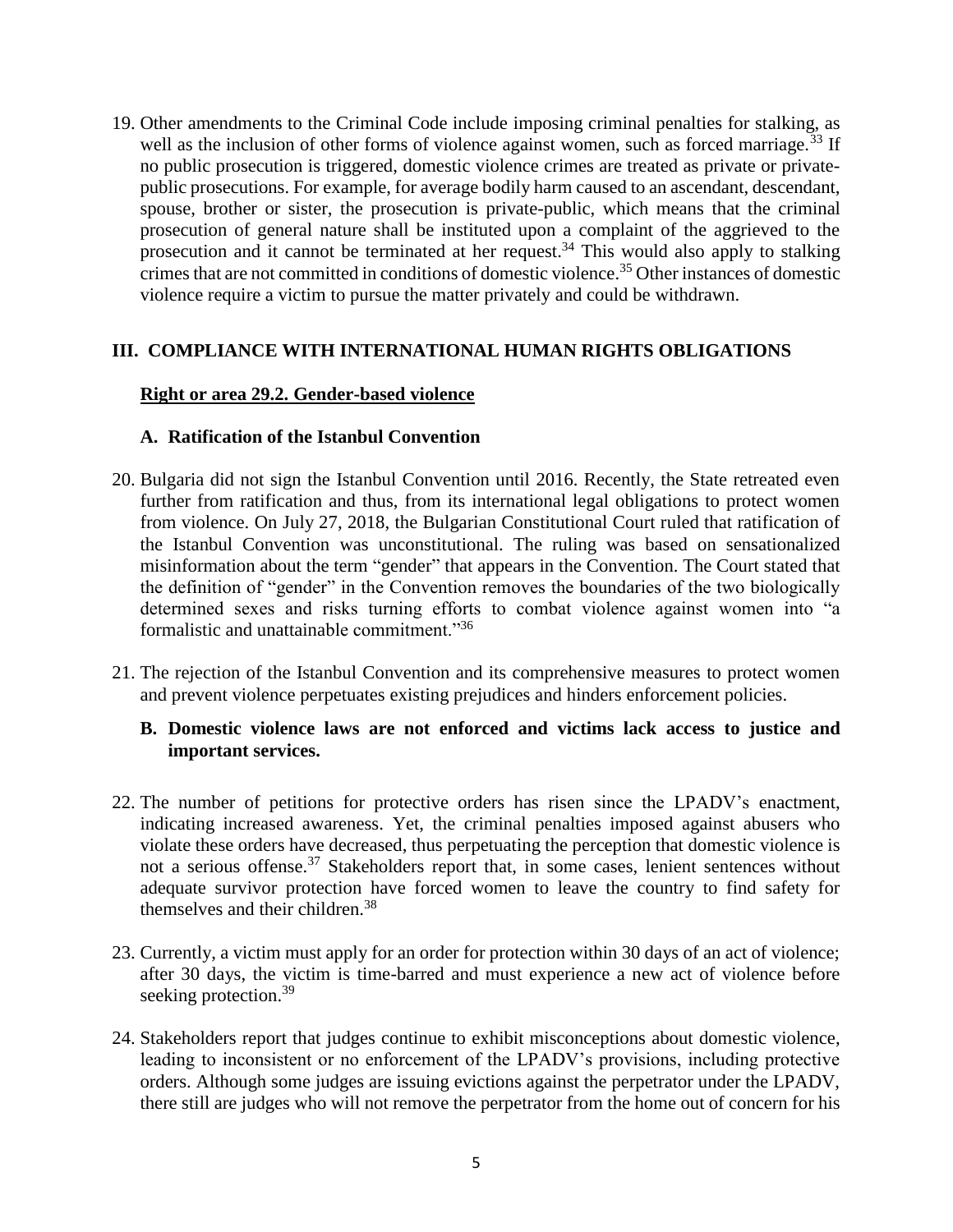19. Other amendments to the Criminal Code include imposing criminal penalties for stalking, as well as the inclusion of other forms of violence against women, such as forced marriage.<sup>33</sup> If no public prosecution is triggered, domestic violence crimes are treated as private or privatepublic prosecutions. For example, for average bodily harm caused to an ascendant, descendant, spouse, brother or sister, the prosecution is private-public, which means that the criminal prosecution of general nature shall be instituted upon a complaint of the aggrieved to the prosecution and it cannot be terminated at her request.<sup>34</sup> This would also apply to stalking crimes that are not committed in conditions of domestic violence. <sup>35</sup> Other instances of domestic violence require a victim to pursue the matter privately and could be withdrawn.

## **III. COMPLIANCE WITH INTERNATIONAL HUMAN RIGHTS OBLIGATIONS**

#### **Right or area 29.2. Gender-based violence**

### **A. Ratification of the Istanbul Convention**

- 20. Bulgaria did not sign the Istanbul Convention until 2016. Recently, the State retreated even further from ratification and thus, from its international legal obligations to protect women from violence. On July 27, 2018, the Bulgarian Constitutional Court ruled that ratification of the Istanbul Convention was unconstitutional. The ruling was based on sensationalized misinformation about the term "gender" that appears in the Convention. The Court stated that the definition of "gender" in the Convention removes the boundaries of the two biologically determined sexes and risks turning efforts to combat violence against women into "a formalistic and unattainable commitment."<sup>36</sup>
- 21. The rejection of the Istanbul Convention and its comprehensive measures to protect women and prevent violence perpetuates existing prejudices and hinders enforcement policies.

#### **B. Domestic violence laws are not enforced and victims lack access to justice and important services.**

- 22. The number of petitions for protective orders has risen since the LPADV's enactment, indicating increased awareness. Yet, the criminal penalties imposed against abusers who violate these orders have decreased, thus perpetuating the perception that domestic violence is not a serious offense.<sup>37</sup> Stakeholders report that, in some cases, lenient sentences without adequate survivor protection have forced women to leave the country to find safety for themselves and their children.<sup>38</sup>
- 23. Currently, a victim must apply for an order for protection within 30 days of an act of violence; after 30 days, the victim is time-barred and must experience a new act of violence before seeking protection.<sup>39</sup>
- 24. Stakeholders report that judges continue to exhibit misconceptions about domestic violence, leading to inconsistent or no enforcement of the LPADV's provisions, including protective orders. Although some judges are issuing evictions against the perpetrator under the LPADV, there still are judges who will not remove the perpetrator from the home out of concern for his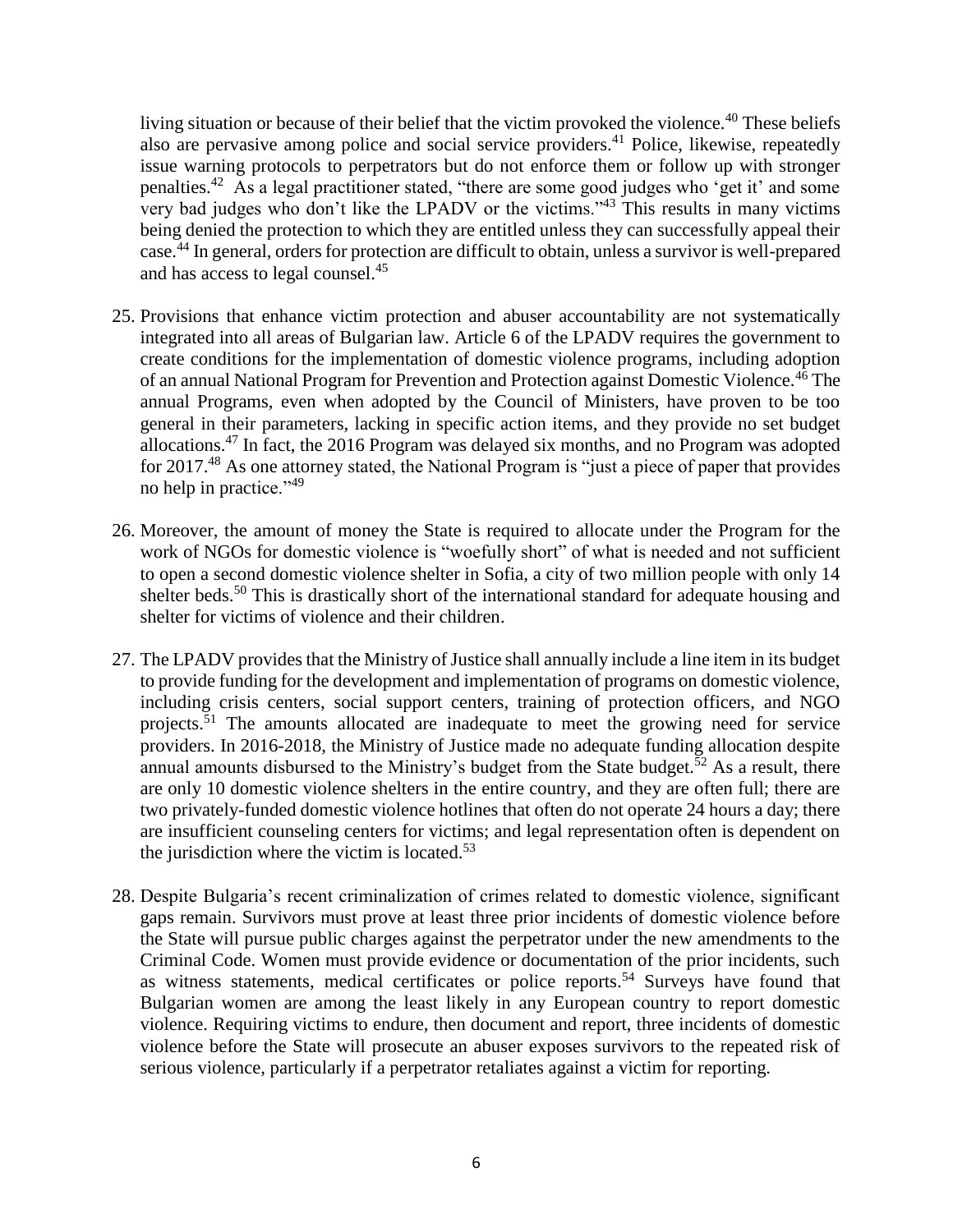living situation or because of their belief that the victim provoked the violence.<sup>40</sup> These beliefs also are pervasive among police and social service providers.<sup>41</sup> Police, likewise, repeatedly issue warning protocols to perpetrators but do not enforce them or follow up with stronger penalties.<sup>42</sup> As a legal practitioner stated, "there are some good judges who 'get it' and some very bad judges who don't like the LPADV or the victims."<sup>43</sup> This results in many victims being denied the protection to which they are entitled unless they can successfully appeal their case. <sup>44</sup> In general, orders for protection are difficult to obtain, unless a survivor is well-prepared and has access to legal counsel. 45

- 25. Provisions that enhance victim protection and abuser accountability are not systematically integrated into all areas of Bulgarian law. Article 6 of the LPADV requires the government to create conditions for the implementation of domestic violence programs, including adoption of an annual National Program for Prevention and Protection against Domestic Violence.<sup>46</sup> The annual Programs, even when adopted by the Council of Ministers, have proven to be too general in their parameters, lacking in specific action items, and they provide no set budget allocations.<sup>47</sup> In fact, the 2016 Program was delayed six months, and no Program was adopted for 2017.<sup>48</sup> As one attorney stated, the National Program is "just a piece of paper that provides no help in practice."<sup>49</sup>
- 26. Moreover, the amount of money the State is required to allocate under the Program for the work of NGOs for domestic violence is "woefully short" of what is needed and not sufficient to open a second domestic violence shelter in Sofia, a city of two million people with only 14 shelter beds.<sup>50</sup> This is drastically short of the international standard for adequate housing and shelter for victims of violence and their children.
- 27. The LPADV provides that the Ministry of Justice shall annually include a line item in its budget to provide funding for the development and implementation of programs on domestic violence, including crisis centers, social support centers, training of protection officers, and NGO projects.<sup>51</sup> The amounts allocated are inadequate to meet the growing need for service providers. In 2016-2018, the Ministry of Justice made no adequate funding allocation despite annual amounts disbursed to the Ministry's budget from the State budget.<sup>52</sup> As a result, there are only 10 domestic violence shelters in the entire country, and they are often full; there are two privately-funded domestic violence hotlines that often do not operate 24 hours a day; there are insufficient counseling centers for victims; and legal representation often is dependent on the jurisdiction where the victim is located. $53$
- 28. Despite Bulgaria's recent criminalization of crimes related to domestic violence, significant gaps remain. Survivors must prove at least three prior incidents of domestic violence before the State will pursue public charges against the perpetrator under the new amendments to the Criminal Code. Women must provide evidence or documentation of the prior incidents, such as witness statements, medical certificates or police reports.<sup>54</sup> Surveys have found that Bulgarian women are among the least likely in any European country to report domestic violence. Requiring victims to endure, then document and report, three incidents of domestic violence before the State will prosecute an abuser exposes survivors to the repeated risk of serious violence, particularly if a perpetrator retaliates against a victim for reporting.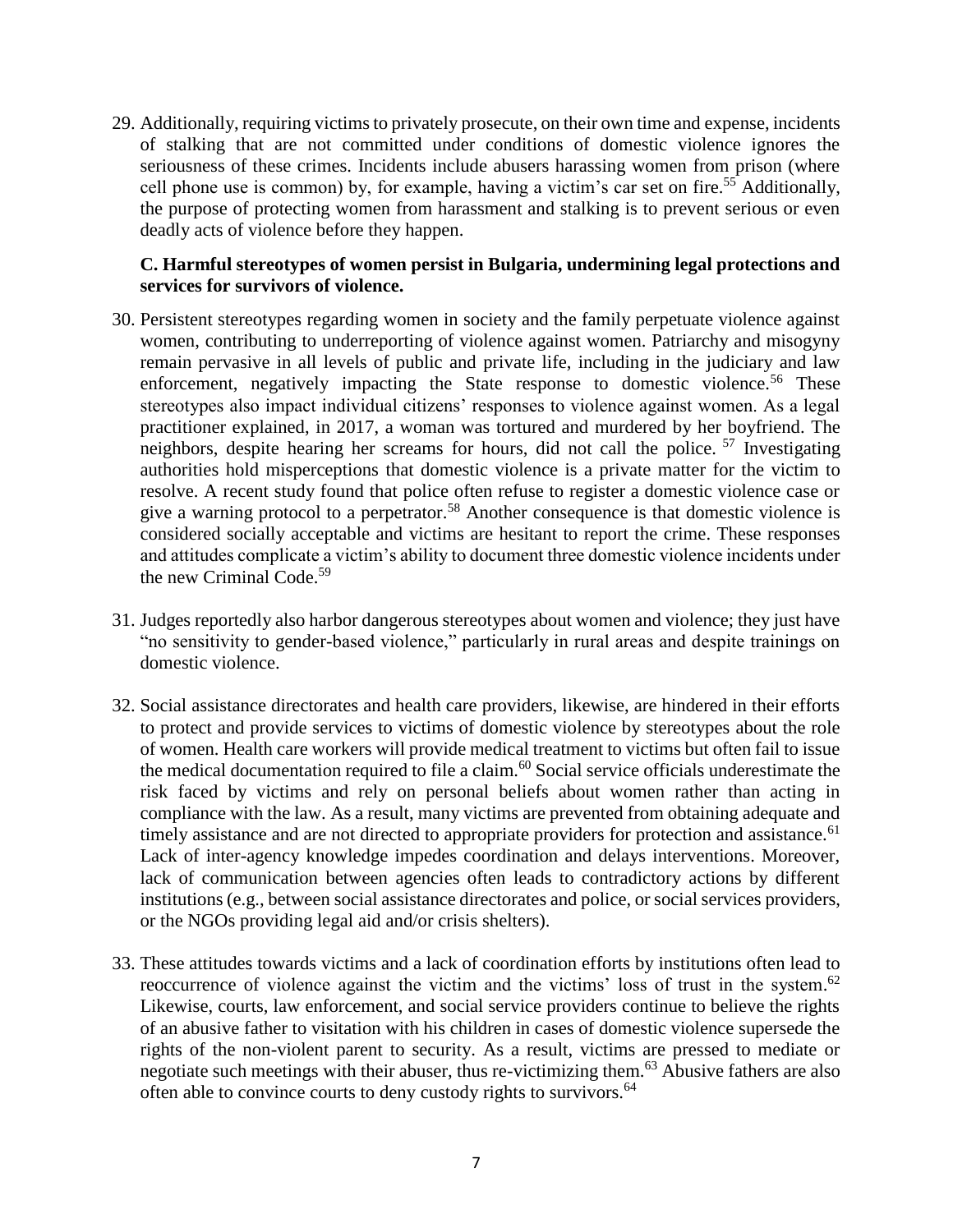29. Additionally, requiring victims to privately prosecute, on their own time and expense, incidents of stalking that are not committed under conditions of domestic violence ignores the seriousness of these crimes. Incidents include abusers harassing women from prison (where cell phone use is common) by, for example, having a victim's car set on fire.<sup>55</sup> Additionally, the purpose of protecting women from harassment and stalking is to prevent serious or even deadly acts of violence before they happen.

#### **C. Harmful stereotypes of women persist in Bulgaria, undermining legal protections and services for survivors of violence.**

- 30. Persistent stereotypes regarding women in society and the family perpetuate violence against women, contributing to underreporting of violence against women. Patriarchy and misogyny remain pervasive in all levels of public and private life, including in the judiciary and law enforcement, negatively impacting the State response to domestic violence.<sup>56</sup> These stereotypes also impact individual citizens' responses to violence against women. As a legal practitioner explained, in 2017, a woman was tortured and murdered by her boyfriend. The neighbors, despite hearing her screams for hours, did not call the police. <sup>57</sup> Investigating authorities hold misperceptions that domestic violence is a private matter for the victim to resolve. A recent study found that police often refuse to register a domestic violence case or give a warning protocol to a perpetrator.<sup>58</sup> Another consequence is that domestic violence is considered socially acceptable and victims are hesitant to report the crime. These responses and attitudes complicate a victim's ability to document three domestic violence incidents under the new Criminal Code. 59
- 31. Judges reportedly also harbor dangerous stereotypes about women and violence; they just have "no sensitivity to gender-based violence," particularly in rural areas and despite trainings on domestic violence.
- 32. Social assistance directorates and health care providers, likewise, are hindered in their efforts to protect and provide services to victims of domestic violence by stereotypes about the role of women. Health care workers will provide medical treatment to victims but often fail to issue the medical documentation required to file a claim.<sup>60</sup> Social service officials underestimate the risk faced by victims and rely on personal beliefs about women rather than acting in compliance with the law. As a result, many victims are prevented from obtaining adequate and timely assistance and are not directed to appropriate providers for protection and assistance.<sup>61</sup> Lack of inter-agency knowledge impedes coordination and delays interventions. Moreover, lack of communication between agencies often leads to contradictory actions by different institutions (e.g., between social assistance directorates and police, or social services providers, or the NGOs providing legal aid and/or crisis shelters).
- 33. These attitudes towards victims and a lack of coordination efforts by institutions often lead to reoccurrence of violence against the victim and the victims' loss of trust in the system.<sup>62</sup> Likewise, courts, law enforcement, and social service providers continue to believe the rights of an abusive father to visitation with his children in cases of domestic violence supersede the rights of the non-violent parent to security. As a result, victims are pressed to mediate or negotiate such meetings with their abuser, thus re-victimizing them.<sup>63</sup> Abusive fathers are also often able to convince courts to deny custody rights to survivors.<sup>64</sup>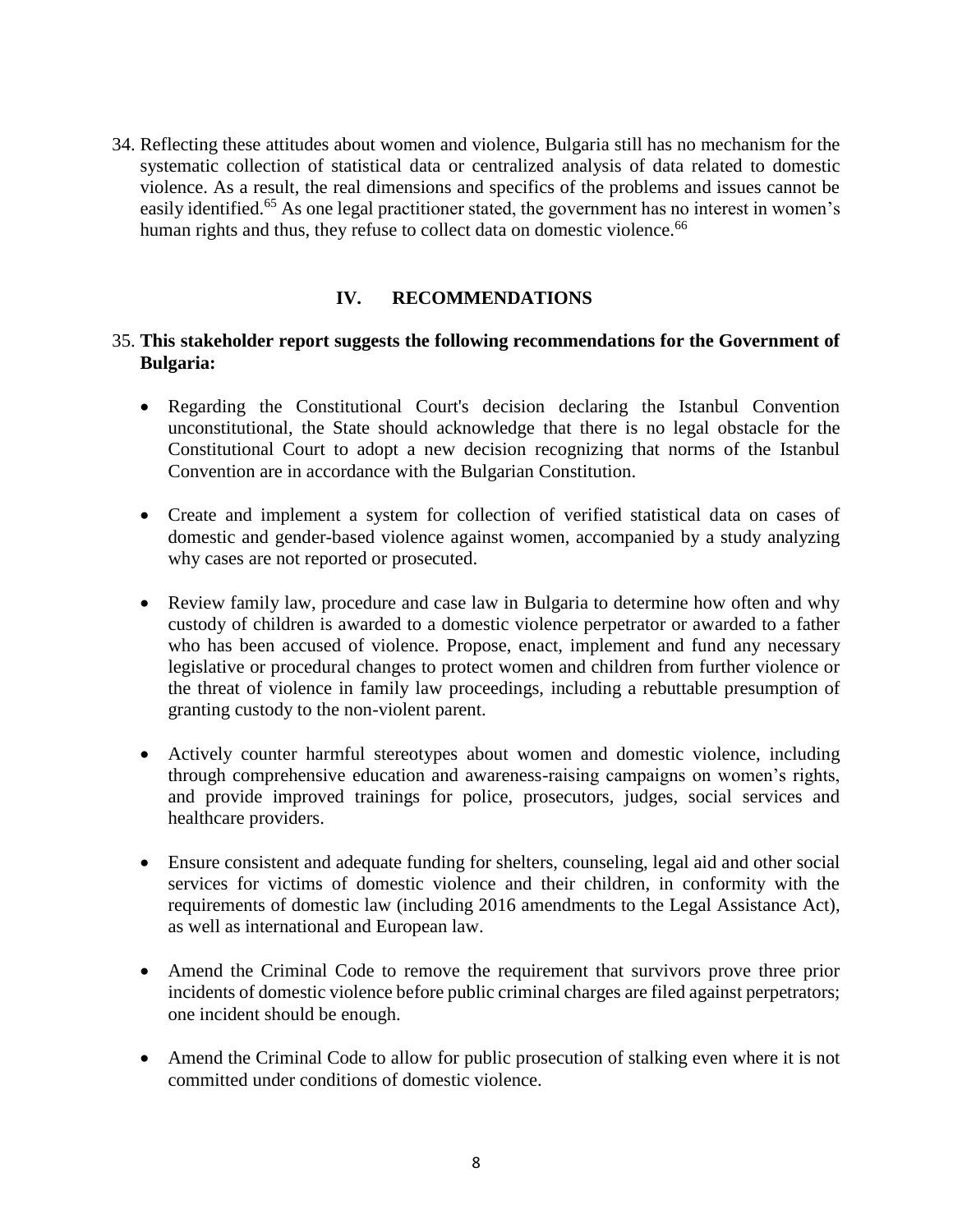34. Reflecting these attitudes about women and violence, Bulgaria still has no mechanism for the systematic collection of statistical data or centralized analysis of data related to domestic violence. As a result, the real dimensions and specifics of the problems and issues cannot be easily identified.<sup>65</sup> As one legal practitioner stated, the government has no interest in women's human rights and thus, they refuse to collect data on domestic violence.<sup>66</sup>

#### **IV. RECOMMENDATIONS**

#### 35. **This stakeholder report suggests the following recommendations for the Government of Bulgaria:**

- Regarding the Constitutional Court's decision declaring the Istanbul Convention unconstitutional, the State should acknowledge that there is no legal obstacle for the Constitutional Court to adopt a new decision recognizing that norms of the Istanbul Convention are in accordance with the Bulgarian Constitution.
- Create and implement a system for collection of verified statistical data on cases of domestic and gender-based violence against women, accompanied by a study analyzing why cases are not reported or prosecuted.
- Review family law, procedure and case law in Bulgaria to determine how often and why custody of children is awarded to a domestic violence perpetrator or awarded to a father who has been accused of violence. Propose, enact, implement and fund any necessary legislative or procedural changes to protect women and children from further violence or the threat of violence in family law proceedings, including a rebuttable presumption of granting custody to the non-violent parent.
- Actively counter harmful stereotypes about women and domestic violence, including through comprehensive education and awareness-raising campaigns on women's rights, and provide improved trainings for police, prosecutors, judges, social services and healthcare providers.
- Ensure consistent and adequate funding for shelters, counseling, legal aid and other social services for victims of domestic violence and their children, in conformity with the requirements of domestic law (including 2016 amendments to the Legal Assistance Act), as well as international and European law.
- Amend the Criminal Code to remove the requirement that survivors prove three prior incidents of domestic violence before public criminal charges are filed against perpetrators; one incident should be enough.
- Amend the Criminal Code to allow for public prosecution of stalking even where it is not committed under conditions of domestic violence.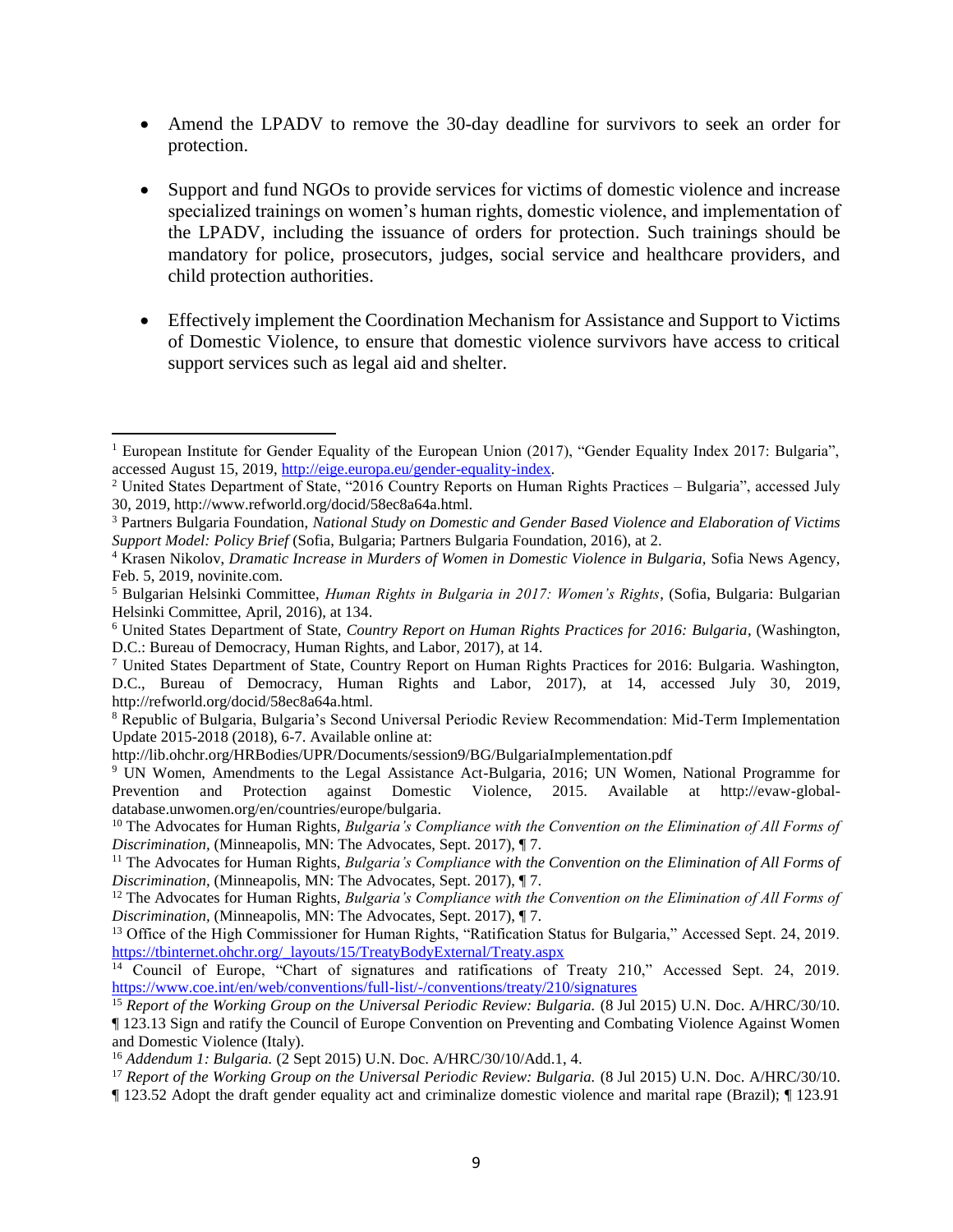- Amend the LPADV to remove the 30-day deadline for survivors to seek an order for protection.
- Support and fund NGOs to provide services for victims of domestic violence and increase specialized trainings on women's human rights, domestic violence, and implementation of the LPADV, including the issuance of orders for protection. Such trainings should be mandatory for police, prosecutors, judges, social service and healthcare providers, and child protection authorities.
- Effectively implement the Coordination Mechanism for Assistance and Support to Victims of Domestic Violence, to ensure that domestic violence survivors have access to critical support services such as legal aid and shelter.

 $\overline{\phantom{a}}$ 

<sup>&</sup>lt;sup>1</sup> European Institute for Gender Equality of the European Union (2017), "Gender Equality Index 2017: Bulgaria", accessed August 15, 2019, [http://eige.europa.eu/gender-equality-index.](http://eige.europa.eu/gender-equality-index)

<sup>2</sup> United States Department of State, "2016 Country Reports on Human Rights Practices – Bulgaria", accessed July 30, 2019, http://www.refworld.org/docid/58ec8a64a.html.

<sup>3</sup> Partners Bulgaria Foundation, *National Study on Domestic and Gender Based Violence and Elaboration of Victims Support Model: Policy Brief* (Sofia, Bulgaria; Partners Bulgaria Foundation, 2016), at 2.

<sup>&</sup>lt;sup>4</sup> Krasen Nikolov, *Dramatic Increase in Murders of Women in Domestic Violence in Bulgaria*, Sofia News Agency, Feb. 5, 2019, novinite.com.

<sup>5</sup> Bulgarian Helsinki Committee, *Human Rights in Bulgaria in 2017: Women's Rights*, (Sofia, Bulgaria: Bulgarian Helsinki Committee, April, 2016), at 134.

<sup>6</sup> United States Department of State, *Country Report on Human Rights Practices for 2016: Bulgaria*, (Washington, D.C.: Bureau of Democracy, Human Rights, and Labor, 2017), at 14.

<sup>7</sup> United States Department of State, Country Report on Human Rights Practices for 2016: Bulgaria. Washington, D.C., Bureau of Democracy, Human Rights and Labor, 2017), at 14, accessed July 30, 2019, http://refworld.org/docid/58ec8a64a.html.

<sup>8</sup> Republic of Bulgaria, Bulgaria's Second Universal Periodic Review Recommendation: Mid-Term Implementation Update 2015-2018 (2018), 6-7. Available online at:

http://lib.ohchr.org/HRBodies/UPR/Documents/session9/BG/BulgariaImplementation.pdf

<sup>&</sup>lt;sup>9</sup> UN Women, Amendments to the Legal Assistance Act-Bulgaria, 2016; UN Women, National Programme for Prevention and Protection against Domestic Violence, 2015. Available at http://evaw-globaldatabase.unwomen.org/en/countries/europe/bulgaria.

<sup>&</sup>lt;sup>10</sup> The Advocates for Human Rights, *Bulgaria's Compliance with the Convention on the Elimination of All Forms of Discrimination,* (Minneapolis, MN: The Advocates, Sept. 2017), ¶ 7.

<sup>&</sup>lt;sup>11</sup> The Advocates for Human Rights, *Bulgaria's Compliance with the Convention on the Elimination of All Forms of Discrimination,* (Minneapolis, MN: The Advocates, Sept. 2017), ¶ 7.

<sup>&</sup>lt;sup>12</sup> The Advocates for Human Rights, *Bulgaria's Compliance with the Convention on the Elimination of All Forms of Discrimination,* (Minneapolis, MN: The Advocates, Sept. 2017), ¶ 7.

<sup>&</sup>lt;sup>13</sup> Office of the High Commissioner for Human Rights, "Ratification Status for Bulgaria," Accessed Sept. 24, 2019. [https://tbinternet.ohchr.org/\\_layouts/15/TreatyBodyExternal/Treaty.aspx](https://tbinternet.ohchr.org/_layouts/15/TreatyBodyExternal/Treaty.aspx)

<sup>&</sup>lt;sup>14</sup> Council of Europe, "Chart of signatures and ratifications of Treaty 210," Accessed Sept. 24, 2019. <https://www.coe.int/en/web/conventions/full-list/-/conventions/treaty/210/signatures>

<sup>&</sup>lt;sup>15</sup> Report of the Working Group on the Universal Periodic Review: Bulgaria. (8 Jul 2015) U.N. Doc. A/HRC/30/10. ¶ 123.13 Sign and ratify the Council of Europe Convention on Preventing and Combating Violence Against Women and Domestic Violence (Italy).

<sup>16</sup> *Addendum 1: Bulgaria.* (2 Sept 2015) U.N. Doc. A/HRC/30/10/Add.1, 4.

<sup>&</sup>lt;sup>17</sup> Report of the Working Group on the Universal Periodic Review: Bulgaria. (8 Jul 2015) U.N. Doc. A/HRC/30/10.

<sup>¶ 123.52</sup> Adopt the draft gender equality act and criminalize domestic violence and marital rape (Brazil); ¶ 123.91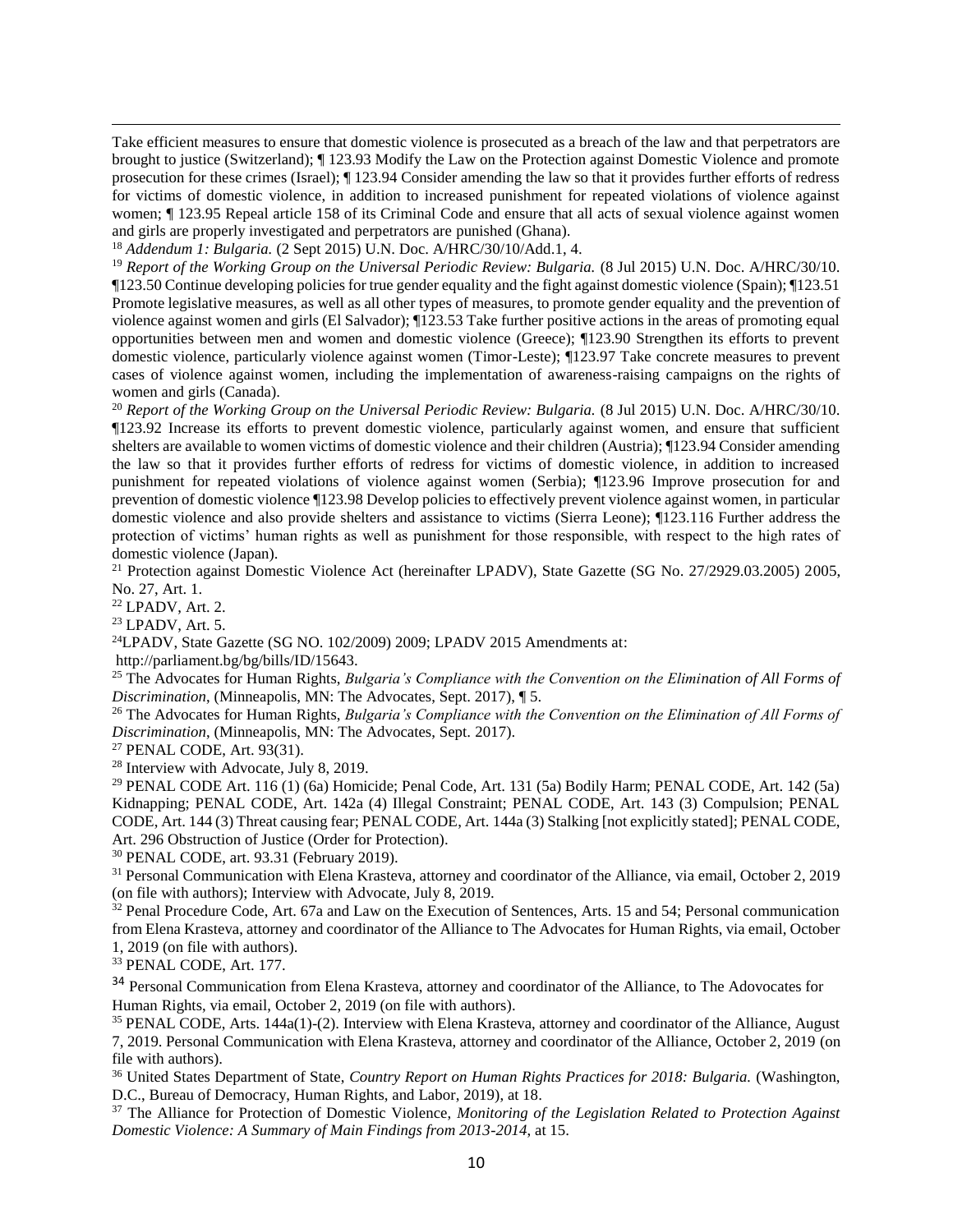Take efficient measures to ensure that domestic violence is prosecuted as a breach of the law and that perpetrators are brought to justice (Switzerland); ¶ 123.93 Modify the Law on the Protection against Domestic Violence and promote prosecution for these crimes (Israel); ¶ 123.94 Consider amending the law so that it provides further efforts of redress for victims of domestic violence, in addition to increased punishment for repeated violations of violence against women; ¶ 123.95 Repeal article 158 of its Criminal Code and ensure that all acts of sexual violence against women and girls are properly investigated and perpetrators are punished (Ghana).

<sup>18</sup> *Addendum 1: Bulgaria.* (2 Sept 2015) U.N. Doc. A/HRC/30/10/Add.1, 4.

<sup>19</sup> *Report of the Working Group on the Universal Periodic Review: Bulgaria.* (8 Jul 2015) U.N. Doc. A/HRC/30/10. ¶123.50 Continue developing policies for true gender equality and the fight against domestic violence (Spain); ¶123.51 Promote legislative measures, as well as all other types of measures, to promote gender equality and the prevention of violence against women and girls (El Salvador); ¶123.53 Take further positive actions in the areas of promoting equal opportunities between men and women and domestic violence (Greece); ¶123.90 Strengthen its efforts to prevent domestic violence, particularly violence against women (Timor-Leste); ¶123.97 Take concrete measures to prevent cases of violence against women, including the implementation of awareness-raising campaigns on the rights of women and girls (Canada).

<sup>20</sup> *Report of the Working Group on the Universal Periodic Review: Bulgaria.* (8 Jul 2015) U.N. Doc. A/HRC/30/10. ¶123.92 Increase its efforts to prevent domestic violence, particularly against women, and ensure that sufficient shelters are available to women victims of domestic violence and their children (Austria); ¶123.94 Consider amending the law so that it provides further efforts of redress for victims of domestic violence, in addition to increased punishment for repeated violations of violence against women (Serbia); ¶123.96 Improve prosecution for and prevention of domestic violence ¶123.98 Develop policies to effectively prevent violence against women, in particular domestic violence and also provide shelters and assistance to victims (Sierra Leone); ¶123.116 Further address the protection of victims' human rights as well as punishment for those responsible, with respect to the high rates of domestic violence (Japan).

<sup>21</sup> Protection against Domestic Violence Act (hereinafter LPADV), State Gazette (SG No. 27/2929.03.2005) 2005, No. 27, Art. 1.

<sup>22</sup> LPADV, Art. 2.

 $\overline{a}$ 

<sup>23</sup> LPADV, Art. 5.

<sup>24</sup>LPADV, State Gazette (SG NO. 102/2009) 2009; LPADV 2015 Amendments at:

http://parliament.bg/bg/bills/ID/15643.

<sup>25</sup> The Advocates for Human Rights, *Bulgaria's Compliance with the Convention on the Elimination of All Forms of Discrimination*, (Minneapolis, MN: The Advocates, Sept. 2017), ¶ 5.

<sup>26</sup> The Advocates for Human Rights, *Bulgaria's Compliance with the Convention on the Elimination of All Forms of Discrimination*, (Minneapolis, MN: The Advocates, Sept. 2017).

<sup>27</sup> PENAL CODE, Art. 93(31).

<sup>28</sup> Interview with Advocate, July 8, 2019.

<sup>29</sup> PENAL CODE Art. 116 (1) (6a) Homicide; Penal Code, Art. 131 (5a) Bodily Harm; PENAL CODE, Art. 142 (5a) Kidnapping; PENAL CODE, Art. 142a (4) Illegal Constraint; PENAL CODE, Art. 143 (3) Compulsion; PENAL CODE, Art. 144 (3) Threat causing fear; PENAL CODE, Art. 144a (3) Stalking [not explicitly stated]; PENAL CODE, Art. 296 Obstruction of Justice (Order for Protection).

<sup>30</sup> PENAL CODE, art. 93.31 (February 2019).

<sup>31</sup> Personal Communication with Elena Krasteva, attorney and coordinator of the Alliance, via email, October 2, 2019 (on file with authors); Interview with Advocate, July 8, 2019.

 $32$  Penal Procedure Code, Art. 67a and Law on the Execution of Sentences, Arts. 15 and 54; Personal communication from Elena Krasteva, attorney and coordinator of the Alliance to The Advocates for Human Rights, via email, October 1, 2019 (on file with authors).

<sup>33</sup> PENAL CODE, Art. 177.

<sup>34</sup> Personal Communication from Elena Krasteva, attorney and coordinator of the Alliance, to The Adovocates for Human Rights, via email, October 2, 2019 (on file with authors).

<sup>35</sup> PENAL CODE, Arts. 144a(1)-(2). Interview with Elena Krasteva, attorney and coordinator of the Alliance, August 7, 2019. Personal Communication with Elena Krasteva, attorney and coordinator of the Alliance, October 2, 2019 (on file with authors).

<sup>36</sup> United States Department of State, *Country Report on Human Rights Practices for 2018: Bulgaria.* (Washington, D.C., Bureau of Democracy, Human Rights, and Labor, 2019), at 18.

<sup>37</sup> The Alliance for Protection of Domestic Violence, *Monitoring of the Legislation Related to Protection Against Domestic Violence: A Summary of Main Findings from 2013-2014*, at 15.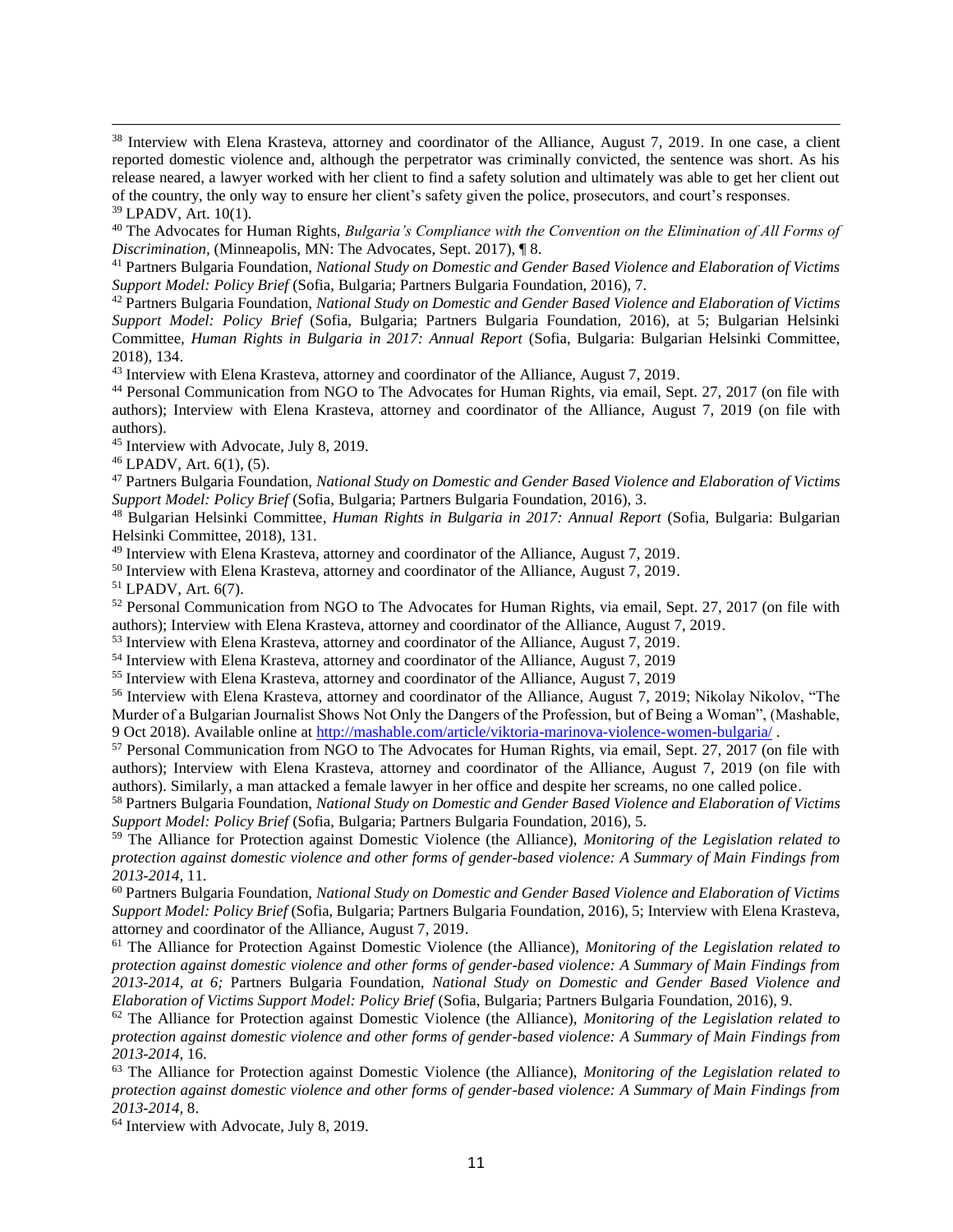<sup>38</sup> Interview with Elena Krasteva, attorney and coordinator of the Alliance, August 7, 2019. In one case, a client reported domestic violence and, although the perpetrator was criminally convicted, the sentence was short. As his release neared, a lawyer worked with her client to find a safety solution and ultimately was able to get her client out of the country, the only way to ensure her client's safety given the police, prosecutors, and court's responses.

 $\overline{a}$ 

<sup>40</sup> The Advocates for Human Rights, *Bulgaria's Compliance with the Convention on the Elimination of All Forms of Discrimination,* (Minneapolis, MN: The Advocates, Sept. 2017), ¶ 8.

<sup>41</sup> Partners Bulgaria Foundation, *National Study on Domestic and Gender Based Violence and Elaboration of Victims Support Model: Policy Brief* (Sofia, Bulgaria; Partners Bulgaria Foundation, 2016), 7.

<sup>42</sup> Partners Bulgaria Foundation, *National Study on Domestic and Gender Based Violence and Elaboration of Victims Support Model: Policy Brief* (Sofia, Bulgaria; Partners Bulgaria Foundation, 2016), at 5; Bulgarian Helsinki Committee, *Human Rights in Bulgaria in 2017: Annual Report* (Sofia, Bulgaria: Bulgarian Helsinki Committee, 2018), 134.

<sup>43</sup> Interview with Elena Krasteva, attorney and coordinator of the Alliance, August 7, 2019.

<sup>44</sup> Personal Communication from NGO to The Advocates for Human Rights, via email, Sept. 27, 2017 (on file with authors); Interview with Elena Krasteva, attorney and coordinator of the Alliance, August 7, 2019 (on file with authors).

<sup>45</sup> Interview with Advocate, July 8, 2019.

 $46$  LPADV, Art.  $6(1)$ ,  $(5)$ .

<sup>47</sup> Partners Bulgaria Foundation, *National Study on Domestic and Gender Based Violence and Elaboration of Victims Support Model: Policy Brief* (Sofia, Bulgaria; Partners Bulgaria Foundation, 2016), 3.

<sup>48</sup> Bulgarian Helsinki Committee*, Human Rights in Bulgaria in 2017: Annual Report* (Sofia, Bulgaria: Bulgarian Helsinki Committee, 2018), 131.

<sup>49</sup> Interview with Elena Krasteva, attorney and coordinator of the Alliance, August 7, 2019.

<sup>50</sup> Interview with Elena Krasteva, attorney and coordinator of the Alliance, August 7, 2019.

<sup>51</sup> LPADV, Art. 6(7).

<sup>52</sup> Personal Communication from NGO to The Advocates for Human Rights, via email, Sept. 27, 2017 (on file with authors); Interview with Elena Krasteva, attorney and coordinator of the Alliance, August 7, 2019.

<sup>53</sup> Interview with Elena Krasteva, attorney and coordinator of the Alliance, August 7, 2019.

<sup>54</sup> Interview with Elena Krasteva, attorney and coordinator of the Alliance, August 7, 2019

<sup>55</sup> Interview with Elena Krasteva, attorney and coordinator of the Alliance, August 7, 2019

<sup>56</sup> Interview with Elena Krasteva, attorney and coordinator of the Alliance, August 7, 2019; Nikolay Nikolov, "The Murder of a Bulgarian Journalist Shows Not Only the Dangers of the Profession, but of Being a Woman", (Mashable, 9 Oct 2018). Available online at<http://mashable.com/article/viktoria-marinova-violence-women-bulgaria/> .

<sup>57</sup> Personal Communication from NGO to The Advocates for Human Rights, via email, Sept. 27, 2017 (on file with authors); Interview with Elena Krasteva, attorney and coordinator of the Alliance, August 7, 2019 (on file with authors). Similarly, a man attacked a female lawyer in her office and despite her screams, no one called police.

<sup>58</sup> Partners Bulgaria Foundation, *National Study on Domestic and Gender Based Violence and Elaboration of Victims Support Model: Policy Brief* (Sofia, Bulgaria; Partners Bulgaria Foundation, 2016), 5.

<sup>59</sup> The Alliance for Protection against Domestic Violence (the Alliance), *Monitoring of the Legislation related to protection against domestic violence and other forms of gender-based violence: A Summary of Main Findings from 2013-2014,* 11*.*

<sup>60</sup> Partners Bulgaria Foundation, *National Study on Domestic and Gender Based Violence and Elaboration of Victims Support Model: Policy Brief* (Sofia, Bulgaria; Partners Bulgaria Foundation, 2016), 5; Interview with Elena Krasteva, attorney and coordinator of the Alliance, August 7, 2019.

<sup>61</sup> The Alliance for Protection Against Domestic Violence (the Alliance), *Monitoring of the Legislation related to protection against domestic violence and other forms of gender-based violence: A Summary of Main Findings from 2013-2014, at 6;* Partners Bulgaria Foundation, *National Study on Domestic and Gender Based Violence and Elaboration of Victims Support Model: Policy Brief* (Sofia, Bulgaria; Partners Bulgaria Foundation, 2016), 9.

<sup>62</sup> The Alliance for Protection against Domestic Violence (the Alliance), *Monitoring of the Legislation related to protection against domestic violence and other forms of gender-based violence: A Summary of Main Findings from 2013-2014,* 16.

<sup>63</sup> The Alliance for Protection against Domestic Violence (the Alliance), *Monitoring of the Legislation related to protection against domestic violence and other forms of gender-based violence: A Summary of Main Findings from 2013-2014,* 8.

<sup>64</sup> Interview with Advocate, July 8, 2019.

<sup>39</sup> LPADV, Art. 10(1).